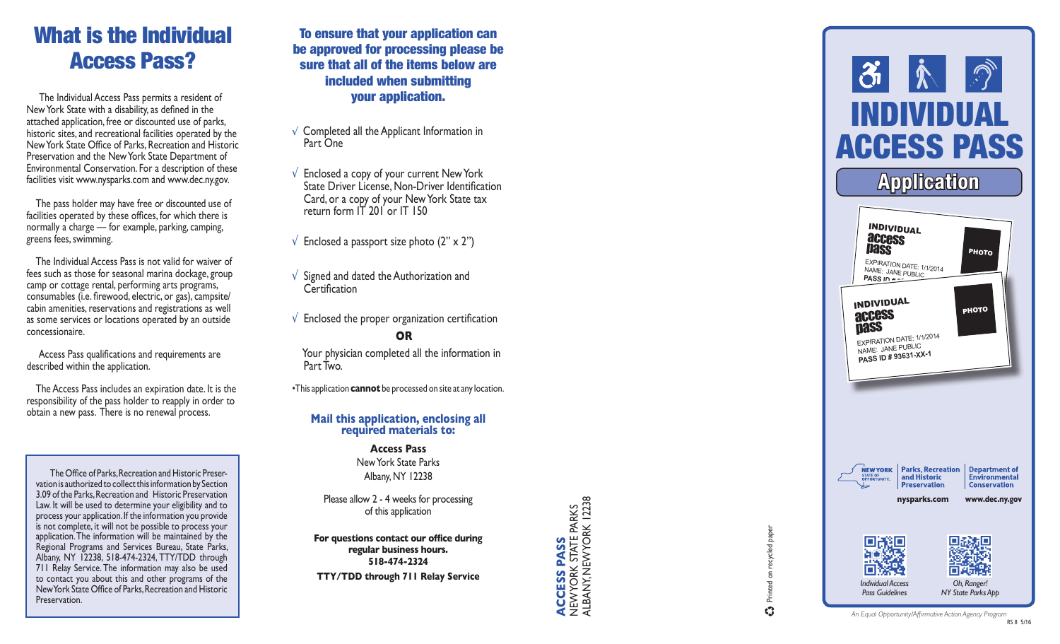# What is the Individual Access Pass?

 The Individual Access Pass permits a resident of New York State with a disability, as defined in the attached application, free or discounted use of parks, historic sites, and recreational facilities operated by the New York State Office of Parks, Recreation and Historic Preservation and the New York State Department of Environmental Conservation. For a description of these facilities visit www.nysparks.com and www.dec.ny.gov.

 The pass holder may have free or discounted use of facilities operated by these offices, for which there is normally a charge — for example, parking, camping, greens fees, swimming.

 The Individual Access Pass is not valid for waiver of fees such as those for seasonal marina dockage, group camp or cottage rental, performing arts programs, consumables (i.e. firewood, electric, or gas), campsite/ cabin amenities, reservations and registrations as well as some services or locations operated by an outside concessionaire.

 Access Pass qualifications and requirements are described within the application.

 The Access Pass includes an expiration date. It is the responsibility of the pass holder to reapply in order to obtain a new pass. There is no renewal process.

The Office of Parks, Recreation and Historic Preservation is authorized to collect this information by Section 3.09 of the Parks, Recreation and Historic Preservation Law. It will be used to determine your eligibility and to process your application. If the information you provide is not complete, it will not be possible to process your application. The information will be maintained by the Regional Programs and Services Bureau, State Parks, Albany, NY 12238, 518-474-2324, TTY/TDD through 711 Relay Service. The information may also be used to contact you about this and other programs of the New York State Office of Parks, Recreation and Historic Preservation.

To ensure that your application can be approved for processing please be sure that all of the items below are included when submitting your application.

- √ Completed all the Applicant Information in Part One
- √ Enclosed a copy of your current New York State Driver License, Non-Driver Identification Card, or a copy of your New York State tax return form IT 201 or IT 150
- $\sqrt{\frac{1}{2}}$  Enclosed a passport size photo (2" x 2")
- √ Signed and dated the Authorization and **Certification**
- $\sqrt{\ }$  Enclosed the proper organization certification **OR**

 Your physician completed all the information in Part Two.

•This application **cannot** be processed on site at any location.

# **Mail this application, enclosing all required materials to:**

**Access Pass** New York State Parks Albany, NY 12238

Please allow 2 - 4 weeks for processing of this application

**For questions contact our office during regular business hours. 518-474-2324**

**ACCESS PASS** NEW YORK STATE PARKS ALBANY, NEW YORK 12238



Printed on recycled paper

 $\mathbf{C}$ 

recycled paper